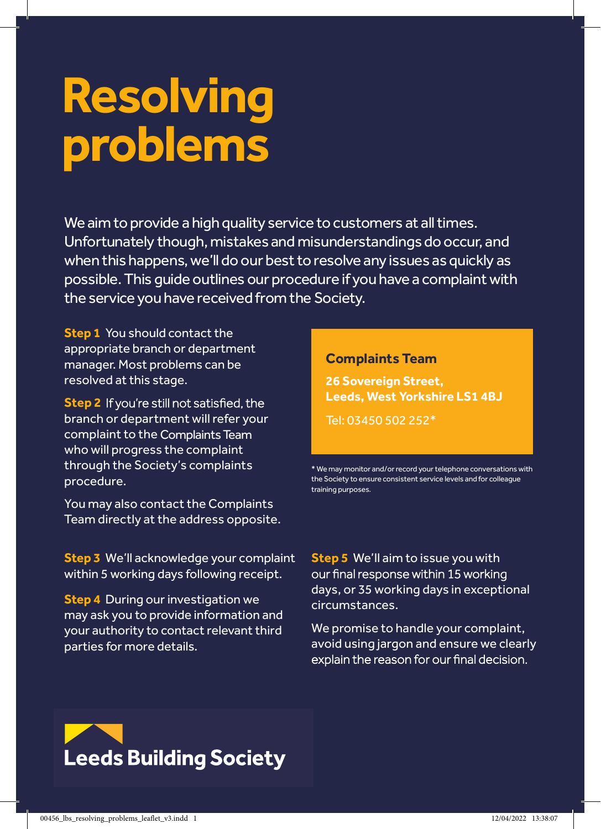# **Resolving problems**

We aim to provide a high quality service to customers at all times. Unfortunately though, mistakes and misunderstandings do occur, and when this happens, we'll do our best to resolve any issues as quickly as possible. This quide outlines our procedure if you have a complaint with the service you have received from the Society.

**Step 1** You should contact the appropriate branch or department manager. Most problems can be resolved at this stage.

**Step 2** If you're still not satisfied, the branch or department will refer your complaint to the Compaints Team Complaints Team who will progress the complaint through the Society's complaints procedure.

You may also contact the Complaints Team directly at the address opposite. **Resolving**<br>Team direct<br>Team direct

**Step 3** We'll acknowledge your complaint within 5 working days following receipt. **problems**<br>**problems**<br>**problems**<br>**problems** 

**Step 4** During our investigation we ; may ask you to provide information and your authority to contact relevant third we provide a high quality service to customers at all the service to c<br>. . . . . parties for more details. Unfortunately though though though though though though though though though though though the missinderstandin<br>And misunderstanding door the missing door the missing door the missing door the missing door the missing door

#### **Customer Resolution Team Complaints Team**

26 Sovereign Street, **Lande Leeds, West Yorkshire LS1 4BJ**

Fax: 00400 304 494

\* We may monitor and/or record your telephone conversations with the Society to ensure consistent service levels and for colleague training purposes.

**Step 5** We'll aim to issue you with days, or 35 working days in exceptional circumstances.

We promise to handle your complaint, avoid using jargon and ensure we clearly<br>explain the reason for our final decision. when this happens, we'll do not be started any issues as  $\mathcal{C}$ 



possible.This guideoutlinesour procedure if you have a complaintwith

the service you have received fromtheSociety.

resolved at this stage.

branch or department will refer your